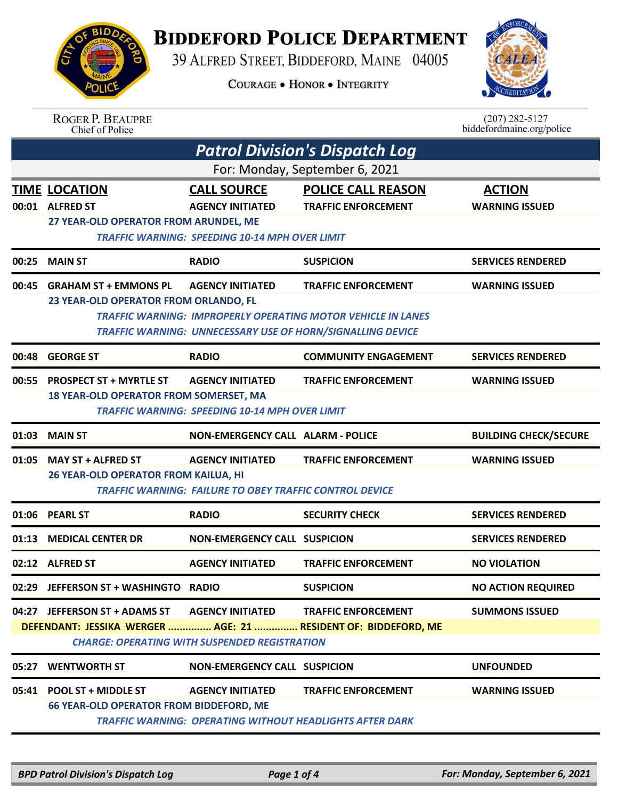## **BIDDEFORD POLICE DEPARTMENT**

39 ALFRED STREET, BIDDEFORD, MAINE 04005

**COURAGE . HONOR . INTEGRITY** 



ROGER P. BEAUPRE<br>Chief of Police

 $(207)$  282-5127 biddefordmaine.org/police

| <b>Patrol Division's Dispatch Log</b> |                                                                                                                                                                                                                     |                                                                                           |                                                                                                                                                                        |                                        |  |  |
|---------------------------------------|---------------------------------------------------------------------------------------------------------------------------------------------------------------------------------------------------------------------|-------------------------------------------------------------------------------------------|------------------------------------------------------------------------------------------------------------------------------------------------------------------------|----------------------------------------|--|--|
| For: Monday, September 6, 2021        |                                                                                                                                                                                                                     |                                                                                           |                                                                                                                                                                        |                                        |  |  |
|                                       | <b>TIME LOCATION</b><br>00:01 ALFRED ST<br>27 YEAR-OLD OPERATOR FROM ARUNDEL, ME                                                                                                                                    | <b>CALL SOURCE</b><br><b>AGENCY INITIATED</b>                                             | <b>POLICE CALL REASON</b><br><b>TRAFFIC ENFORCEMENT</b>                                                                                                                | <b>ACTION</b><br><b>WARNING ISSUED</b> |  |  |
|                                       | <b>TRAFFIC WARNING: SPEEDING 10-14 MPH OVER LIMIT</b>                                                                                                                                                               |                                                                                           |                                                                                                                                                                        |                                        |  |  |
| 00:25                                 | <b>MAIN ST</b>                                                                                                                                                                                                      | <b>RADIO</b>                                                                              | <b>SUSPICION</b>                                                                                                                                                       | <b>SERVICES RENDERED</b>               |  |  |
| 00:45                                 | <b>GRAHAM ST + EMMONS PL</b><br>23 YEAR-OLD OPERATOR FROM ORLANDO, FL                                                                                                                                               | <b>AGENCY INITIATED</b>                                                                   | <b>TRAFFIC ENFORCEMENT</b><br><b>TRAFFIC WARNING: IMPROPERLY OPERATING MOTOR VEHICLE IN LANES</b><br><b>TRAFFIC WARNING: UNNECESSARY USE OF HORN/SIGNALLING DEVICE</b> | <b>WARNING ISSUED</b>                  |  |  |
| 00:48                                 | <b>GEORGE ST</b>                                                                                                                                                                                                    | <b>RADIO</b>                                                                              | <b>COMMUNITY ENGAGEMENT</b>                                                                                                                                            | <b>SERVICES RENDERED</b>               |  |  |
| 00:55                                 | <b>PROSPECT ST + MYRTLE ST</b><br><b>AGENCY INITIATED</b><br><b>TRAFFIC ENFORCEMENT</b><br><b>WARNING ISSUED</b><br>18 YEAR-OLD OPERATOR FROM SOMERSET, MA<br><b>TRAFFIC WARNING: SPEEDING 10-14 MPH OVER LIMIT</b> |                                                                                           |                                                                                                                                                                        |                                        |  |  |
| 01:03                                 | <b>MAIN ST</b>                                                                                                                                                                                                      | <b>NON-EMERGENCY CALL ALARM - POLICE</b>                                                  |                                                                                                                                                                        | <b>BUILDING CHECK/SECURE</b>           |  |  |
| 01:05                                 | <b>MAY ST + ALFRED ST</b><br>26 YEAR-OLD OPERATOR FROM KAILUA, HI                                                                                                                                                   | <b>AGENCY INITIATED</b><br><b>TRAFFIC WARNING: FAILURE TO OBEY TRAFFIC CONTROL DEVICE</b> | <b>TRAFFIC ENFORCEMENT</b>                                                                                                                                             | <b>WARNING ISSUED</b>                  |  |  |
| 01:06                                 | <b>PEARL ST</b>                                                                                                                                                                                                     | <b>RADIO</b>                                                                              | <b>SECURITY CHECK</b>                                                                                                                                                  | <b>SERVICES RENDERED</b>               |  |  |
| 01:13                                 | <b>MEDICAL CENTER DR</b>                                                                                                                                                                                            | <b>NON-EMERGENCY CALL SUSPICION</b>                                                       |                                                                                                                                                                        | <b>SERVICES RENDERED</b>               |  |  |
|                                       | 02:12 ALFRED ST                                                                                                                                                                                                     | <b>AGENCY INITIATED</b>                                                                   | <b>TRAFFIC ENFORCEMENT</b>                                                                                                                                             | <b>NO VIOLATION</b>                    |  |  |
|                                       | 02:29 JEFFERSON ST + WASHINGTO                                                                                                                                                                                      | <b>RADIO</b>                                                                              | <b>SUSPICION</b>                                                                                                                                                       | <b>NO ACTION REQUIRED</b>              |  |  |
|                                       | 04:27 JEFFERSON ST + ADAMS ST AGENCY INITIATED                                                                                                                                                                      | <b>CHARGE: OPERATING WITH SUSPENDED REGISTRATION</b>                                      | <b>TRAFFIC ENFORCEMENT</b><br>DEFENDANT: JESSIKA WERGER  AGE: 21  RESIDENT OF: BIDDEFORD, ME                                                                           | <b>SUMMONS ISSUED</b>                  |  |  |
|                                       | 05:27 WENTWORTH ST                                                                                                                                                                                                  | <b>NON-EMERGENCY CALL SUSPICION</b>                                                       |                                                                                                                                                                        | <b>UNFOUNDED</b>                       |  |  |
|                                       | 05:41 POOL ST + MIDDLE ST<br><b>66 YEAR-OLD OPERATOR FROM BIDDEFORD, ME</b>                                                                                                                                         | <b>AGENCY INITIATED</b>                                                                   | <b>TRAFFIC ENFORCEMENT</b><br><b>TRAFFIC WARNING: OPERATING WITHOUT HEADLIGHTS AFTER DARK</b>                                                                          | <b>WARNING ISSUED</b>                  |  |  |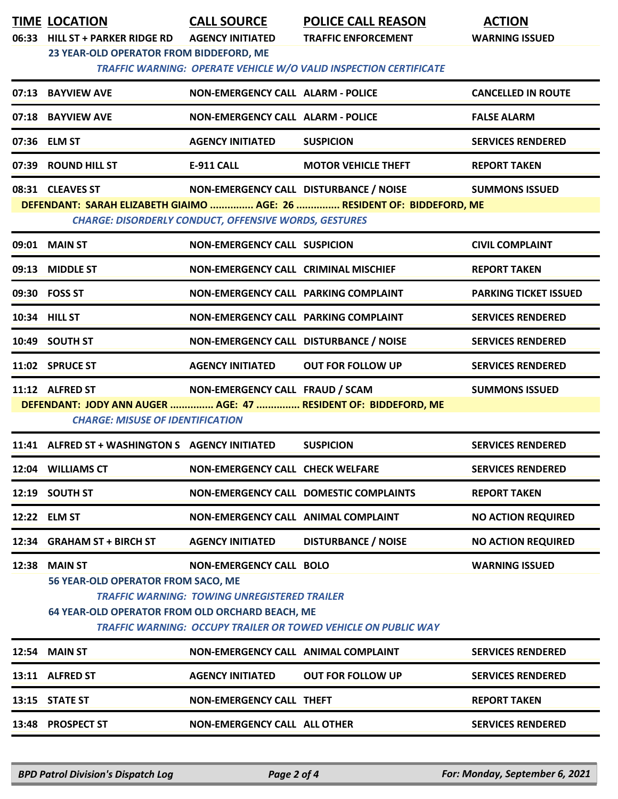|       | <b>TIME LOCATION</b><br>06:33 HILL ST + PARKER RIDGE RD | <b>CALL SOURCE</b><br><b>AGENCY INITIATED</b>                | <b>POLICE CALL REASON</b><br><b>TRAFFIC ENFORCEMENT</b>                | <b>ACTION</b><br><b>WARNING ISSUED</b> |
|-------|---------------------------------------------------------|--------------------------------------------------------------|------------------------------------------------------------------------|----------------------------------------|
|       | 23 YEAR-OLD OPERATOR FROM BIDDEFORD, ME                 |                                                              |                                                                        |                                        |
|       |                                                         |                                                              | TRAFFIC WARNING: OPERATE VEHICLE W/O VALID INSPECTION CERTIFICATE      |                                        |
|       | 07:13 BAYVIEW AVE                                       | <b>NON-EMERGENCY CALL ALARM - POLICE</b>                     |                                                                        | <b>CANCELLED IN ROUTE</b>              |
|       | 07:18 BAYVIEW AVE                                       | <b>NON-EMERGENCY CALL ALARM - POLICE</b>                     |                                                                        | <b>FALSE ALARM</b>                     |
|       | 07:36 ELM ST                                            | <b>AGENCY INITIATED</b>                                      | <b>SUSPICION</b>                                                       | <b>SERVICES RENDERED</b>               |
|       | 07:39 ROUND HILL ST                                     | <b>E-911 CALL</b>                                            | <b>MOTOR VEHICLE THEFT</b>                                             | <b>REPORT TAKEN</b>                    |
|       | 08:31 CLEAVES ST                                        | NON-EMERGENCY CALL DISTURBANCE / NOISE                       |                                                                        | <b>SUMMONS ISSUED</b>                  |
|       |                                                         | <b>CHARGE: DISORDERLY CONDUCT, OFFENSIVE WORDS, GESTURES</b> | DEFENDANT: SARAH ELIZABETH GIAIMO  AGE: 26  RESIDENT OF: BIDDEFORD, ME |                                        |
|       | 09:01 MAIN ST                                           | NON-EMERGENCY CALL SUSPICION                                 |                                                                        | <b>CIVIL COMPLAINT</b>                 |
|       | 09:13 MIDDLE ST                                         | NON-EMERGENCY CALL CRIMINAL MISCHIEF                         |                                                                        | <b>REPORT TAKEN</b>                    |
|       | 09:30 FOSS ST                                           | NON-EMERGENCY CALL PARKING COMPLAINT                         |                                                                        | <b>PARKING TICKET ISSUED</b>           |
|       | 10:34 HILL ST                                           | NON-EMERGENCY CALL PARKING COMPLAINT                         |                                                                        | <b>SERVICES RENDERED</b>               |
|       | 10:49 SOUTH ST                                          | NON-EMERGENCY CALL DISTURBANCE / NOISE                       |                                                                        | <b>SERVICES RENDERED</b>               |
|       | 11:02 SPRUCE ST                                         | <b>AGENCY INITIATED</b>                                      | <b>OUT FOR FOLLOW UP</b>                                               | <b>SERVICES RENDERED</b>               |
|       | 11:12 ALFRED ST                                         | NON-EMERGENCY CALL FRAUD / SCAM                              |                                                                        | <b>SUMMONS ISSUED</b>                  |
|       | <b>CHARGE: MISUSE OF IDENTIFICATION</b>                 |                                                              | DEFENDANT: JODY ANN AUGER  AGE: 47  RESIDENT OF: BIDDEFORD, ME         |                                        |
|       | 11:41 ALFRED ST + WASHINGTON S AGENCY INITIATED         |                                                              | <b>SUSPICION</b>                                                       | <b>SERVICES RENDERED</b>               |
|       | 12:04 WILLIAMS CT                                       | <b>NON-EMERGENCY CALL CHECK WELFARE</b>                      |                                                                        | <b>SERVICES RENDERED</b>               |
|       | 12:19 SOUTH ST                                          |                                                              | NON-EMERGENCY CALL DOMESTIC COMPLAINTS                                 | <b>REPORT TAKEN</b>                    |
|       | 12:22 ELM ST                                            | NON-EMERGENCY CALL ANIMAL COMPLAINT                          |                                                                        | <b>NO ACTION REQUIRED</b>              |
| 12:34 | <b>GRAHAM ST + BIRCH ST</b>                             | <b>AGENCY INITIATED</b>                                      | <b>DISTURBANCE / NOISE</b>                                             | <b>NO ACTION REQUIRED</b>              |
| 12:38 | <b>MAIN ST</b>                                          | <b>NON-EMERGENCY CALL BOLO</b>                               |                                                                        | <b>WARNING ISSUED</b>                  |
|       | 56 YEAR-OLD OPERATOR FROM SACO, ME                      |                                                              |                                                                        |                                        |
|       | 64 YEAR-OLD OPERATOR FROM OLD ORCHARD BEACH, ME         | <b>TRAFFIC WARNING: TOWING UNREGISTERED TRAILER</b>          |                                                                        |                                        |
|       |                                                         |                                                              | <b>TRAFFIC WARNING: OCCUPY TRAILER OR TOWED VEHICLE ON PUBLIC WAY</b>  |                                        |
|       | <b>12:54 MAIN ST</b>                                    | NON-EMERGENCY CALL ANIMAL COMPLAINT                          |                                                                        | <b>SERVICES RENDERED</b>               |
|       | 13:11 ALFRED ST                                         | <b>AGENCY INITIATED</b>                                      | <b>OUT FOR FOLLOW UP</b>                                               | <b>SERVICES RENDERED</b>               |
|       | 13:15 STATE ST                                          | NON-EMERGENCY CALL THEFT                                     |                                                                        | <b>REPORT TAKEN</b>                    |
|       | 13:48 PROSPECT ST                                       | NON-EMERGENCY CALL ALL OTHER                                 |                                                                        | <b>SERVICES RENDERED</b>               |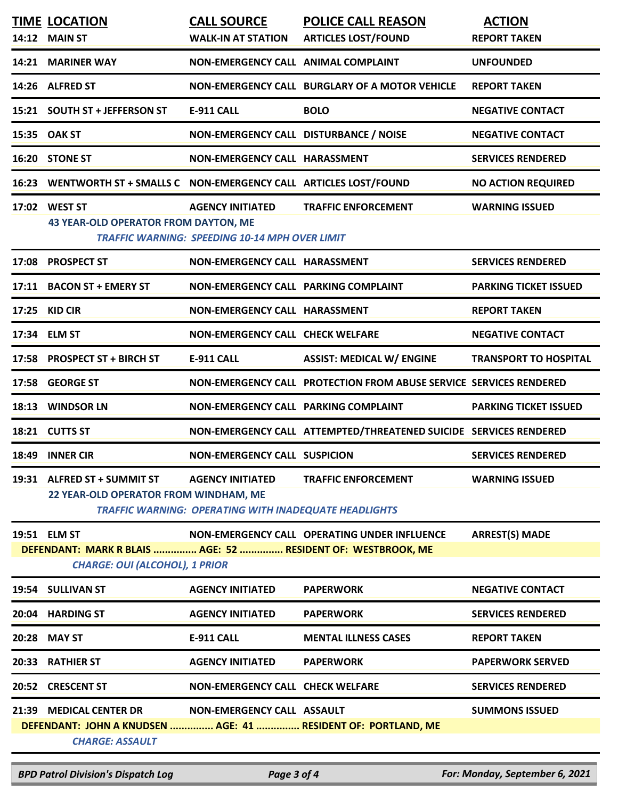|                                                                                                       | <b>TIME LOCATION</b><br>14:12 MAIN ST                                | <b>CALL SOURCE</b><br><b>WALK-IN AT STATION</b>                                         | <b>POLICE CALL REASON</b><br><b>ARTICLES LOST/FOUND</b>            | <b>ACTION</b><br><b>REPORT TAKEN</b> |  |
|-------------------------------------------------------------------------------------------------------|----------------------------------------------------------------------|-----------------------------------------------------------------------------------------|--------------------------------------------------------------------|--------------------------------------|--|
|                                                                                                       | 14:21 MARINER WAY                                                    | NON-EMERGENCY CALL ANIMAL COMPLAINT                                                     |                                                                    | <b>UNFOUNDED</b>                     |  |
|                                                                                                       | 14:26 ALFRED ST                                                      |                                                                                         | NON-EMERGENCY CALL BURGLARY OF A MOTOR VEHICLE                     | <b>REPORT TAKEN</b>                  |  |
|                                                                                                       | 15:21 SOUTH ST + JEFFERSON ST                                        | <b>E-911 CALL</b>                                                                       | <b>BOLO</b>                                                        | <b>NEGATIVE CONTACT</b>              |  |
|                                                                                                       | 15:35 OAK ST                                                         | NON-EMERGENCY CALL DISTURBANCE / NOISE                                                  |                                                                    | <b>NEGATIVE CONTACT</b>              |  |
|                                                                                                       | 16:20 STONE ST                                                       | NON-EMERGENCY CALL HARASSMENT                                                           |                                                                    | <b>SERVICES RENDERED</b>             |  |
|                                                                                                       | 16:23 WENTWORTH ST + SMALLS C NON-EMERGENCY CALL ARTICLES LOST/FOUND |                                                                                         |                                                                    | <b>NO ACTION REQUIRED</b>            |  |
|                                                                                                       | 17:02 WEST ST<br><b>43 YEAR-OLD OPERATOR FROM DAYTON, ME</b>         | <b>AGENCY INITIATED</b><br><b>TRAFFIC WARNING: SPEEDING 10-14 MPH OVER LIMIT</b>        | <b>TRAFFIC ENFORCEMENT</b>                                         | <b>WARNING ISSUED</b>                |  |
|                                                                                                       | 17:08 PROSPECT ST                                                    | NON-EMERGENCY CALL HARASSMENT                                                           |                                                                    | <b>SERVICES RENDERED</b>             |  |
|                                                                                                       | 17:11 BACON ST + EMERY ST                                            | NON-EMERGENCY CALL PARKING COMPLAINT                                                    |                                                                    | <b>PARKING TICKET ISSUED</b>         |  |
|                                                                                                       | 17:25 KID CIR                                                        | NON-EMERGENCY CALL HARASSMENT                                                           |                                                                    | <b>REPORT TAKEN</b>                  |  |
|                                                                                                       | 17:34 ELM ST                                                         | NON-EMERGENCY CALL CHECK WELFARE                                                        |                                                                    | <b>NEGATIVE CONTACT</b>              |  |
|                                                                                                       | 17:58 PROSPECT ST + BIRCH ST                                         | <b>E-911 CALL</b>                                                                       | <b>ASSIST: MEDICAL W/ ENGINE</b>                                   | <b>TRANSPORT TO HOSPITAL</b>         |  |
|                                                                                                       | 17:58 GEORGE ST                                                      |                                                                                         | NON-EMERGENCY CALL PROTECTION FROM ABUSE SERVICE SERVICES RENDERED |                                      |  |
|                                                                                                       | 18:13 WINDSOR LN                                                     | NON-EMERGENCY CALL PARKING COMPLAINT                                                    |                                                                    | <b>PARKING TICKET ISSUED</b>         |  |
|                                                                                                       | 18:21 CUTTS ST                                                       |                                                                                         | NON-EMERGENCY CALL ATTEMPTED/THREATENED SUICIDE SERVICES RENDERED  |                                      |  |
|                                                                                                       | 18:49 INNER CIR                                                      | <b>NON-EMERGENCY CALL SUSPICION</b>                                                     |                                                                    | <b>SERVICES RENDERED</b>             |  |
|                                                                                                       | 19:31 ALFRED ST + SUMMIT ST<br>22 YEAR-OLD OPERATOR FROM WINDHAM, ME | <b>AGENCY INITIATED</b><br><b>TRAFFIC WARNING: OPERATING WITH INADEQUATE HEADLIGHTS</b> | <b>TRAFFIC ENFORCEMENT</b>                                         | <b>WARNING ISSUED</b>                |  |
|                                                                                                       | 19:51 ELM ST                                                         |                                                                                         | NON-EMERGENCY CALL OPERATING UNDER INFLUENCE                       | <b>ARREST(S) MADE</b>                |  |
| DEFENDANT: MARK R BLAIS  AGE: 52  RESIDENT OF: WESTBROOK, ME<br><b>CHARGE: OUI (ALCOHOL), 1 PRIOR</b> |                                                                      |                                                                                         |                                                                    |                                      |  |
|                                                                                                       | 19:54 SULLIVAN ST                                                    | <b>AGENCY INITIATED</b>                                                                 | <b>PAPERWORK</b>                                                   | <b>NEGATIVE CONTACT</b>              |  |
|                                                                                                       | 20:04 HARDING ST                                                     | <b>AGENCY INITIATED</b>                                                                 | <b>PAPERWORK</b>                                                   | <b>SERVICES RENDERED</b>             |  |
| 20:28                                                                                                 | <b>MAY ST</b>                                                        | <b>E-911 CALL</b>                                                                       | <b>MENTAL ILLNESS CASES</b>                                        | <b>REPORT TAKEN</b>                  |  |
| 20:33                                                                                                 | <b>RATHIER ST</b>                                                    | <b>AGENCY INITIATED</b>                                                                 | <b>PAPERWORK</b>                                                   | <b>PAPERWORK SERVED</b>              |  |
| 20:52                                                                                                 | <b>CRESCENT ST</b>                                                   | NON-EMERGENCY CALL CHECK WELFARE                                                        |                                                                    | <b>SERVICES RENDERED</b>             |  |
|                                                                                                       | 21:39 MEDICAL CENTER DR                                              | NON-EMERGENCY CALL ASSAULT                                                              |                                                                    | <b>SUMMONS ISSUED</b>                |  |
| DEFENDANT: JOHN A KNUDSEN  AGE: 41  RESIDENT OF: PORTLAND, ME<br><b>CHARGE: ASSAULT</b>               |                                                                      |                                                                                         |                                                                    |                                      |  |

*BPD Patrol Division's Dispatch Log Page 3 of 4 For: Monday, September 6, 2021*